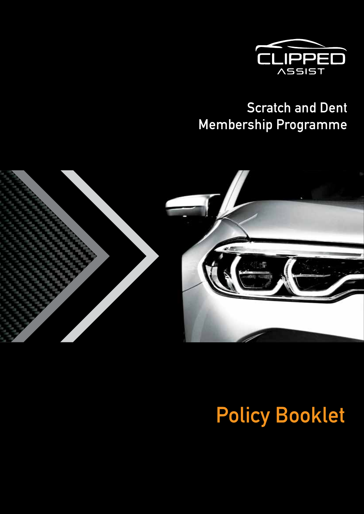

# **Scratch and Dent Membership Programme**



# **Policy Booklet**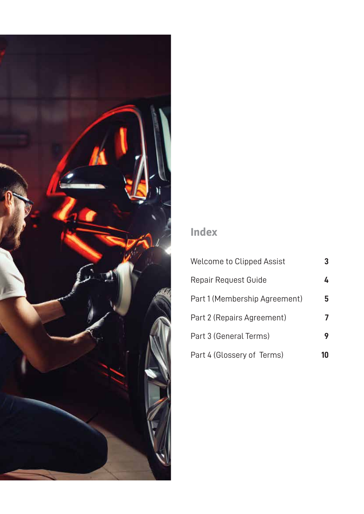

# **Index**

| Welcome to Clipped Assist     |   |
|-------------------------------|---|
| Repair Request Guide          | 4 |
| Part 1 (Membership Agreement) | 5 |
| Part 2 (Repairs Agreement)    |   |
| Part 3 (General Terms)        | 9 |
| Part 4 (Glossery of Terms)    |   |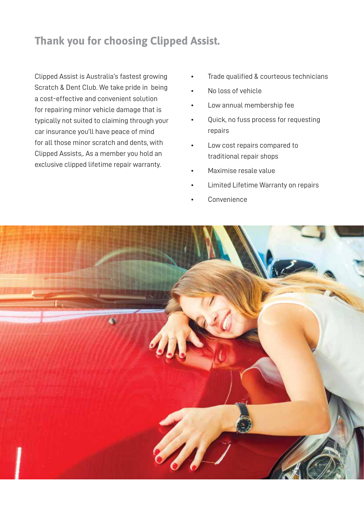# **Thank you for choosing Clipped Assist.**

Clipped Assist is Australia's fastest growing Scratch & Dent Club. We take pride in being a cost-effective and convenient solution for repairing minor vehicle damage that is typically not suited to claiming through your car insurance you'll have peace of mind for all those minor scratch and dents, with Clipped Assists,. As a member you hold an exclusive clipped lifetime repair warranty.

- Trade qualified & courteous technicians
- No loss of vehicle
- Low annual membership fee
- Quick, no fuss process for requesting repairs
- Low cost repairs compared to traditional repair shops
- Maximise resale value
- Limited Lifetime Warranty on repairs
- Convenience

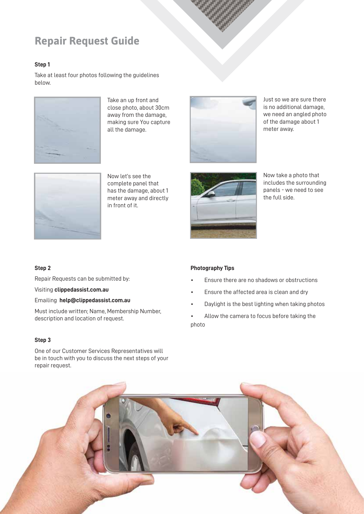## **Repair Request Guide**

#### **Step 1**

Take at least four photos following the guidelines below.



Take an up front and close photo, about 30cm away from the damage, making sure You capture all the damage.



Just so we are sure there is no additional damage, we need an angled photo of the damage about 1 meter away.



Now let's see the complete panel that has the damage, about 1 meter away and directly in front of it.



Now take a photo that includes the surrounding panels - we need to see the full side.

#### **Step 2**

Repair Requests can be submitted by:

Visiting **clippedassist.com.au**

Emailing **help@clippedassist.com.au**

Must include written; Name, Membership Number, description and location of request.

#### **Step 3**

One of our Customer Services Representatives will be in touch with you to discuss the next steps of your repair request.

#### **Photography Tips**

- Ensure there are no shadows or obstructions
- Ensure the affected area is clean and dry
- Daylight is the best lighting when taking photos
- Allow the camera to focus before taking the photo

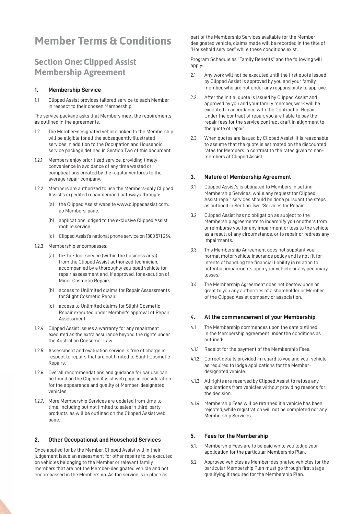### **Member Terms & Conditions**

### **Section One: Clipped Assist Membership Agreement**

#### **1. Membership Service**

1.1 Clipped Assist provides tailored service to each Member in respect to their chosen Membership.

The service package asks that Members meet the requirements as outlined in the agreements.

- 1.2 The Member-designated vehicle linked to the Membership will be eligible for all the subsequently illustrated services in addition to the Occupation and Household service package defined in Section Two of this document.
- 1.2.1. Members enjoy prioritized service, providing timely convenience in avoidance of any time wasted or complications created by the regular ventures to the average repair company.
- 1.2.2. Members are authorized to use the Members-only Clipped Assist's expedited repair demand pathways through:
	- (a) the Clipped Assist website www.clippedassist.com. au Members' page.
	- (b) applications lodged to the exclusive Clipped Assist mobile service.
	- (c) Clipped Assist's national phone service on 1800 571 254.
- 1.2.3 Membership encompasses:
	- (a) to-the-door service (within the business area) from the Clipped Assist authorized technician, accompanied by a thoroughly equipped vehicle for repair assessment and, if approved, for execution of Minor Cosmetic Repairs.
	- (b) access to Unlimited claims for Repair Assessments for Slight Cosmetic Repair.
	- (c) access to Unlimited claims for Slight Cosmetic Repair executed under Member's approval of Repair Assessment.
- 1.2.4. Clipped Assist issues a warranty for any repairment executed as the extra assurance beyond the rights under the Australian Consumer Law.
- 1.2.5. Assessment and evaluation service is free of charge in respect to repairs that are not limited to Slight Cosmetic Repairs.
- 1.2.6. Overall recommendations and guidance for car use can be found on the Clipped Assist web page in consideration for the appearance and quality of Member-designated vehicles.
- 1.2.7. More Membership Services are updated from time to time, including but not limited to sales in third-party products, as will be outlined on the Clipped Assist web page.

#### **2. Other Occupational and Household Services**

Once applied for by the Member, Clipped Assist will in their judgement issue an assessment for other repairs to be executed on vehicles belonging to the Member or relevant family members that are not the Member-designated vehicle and not encompassed in the Membership. As the service is in place as

part of the Membership Services available for the Memberdesignated vehicle, claims made will be recorded in the title of "Household services" while these conditions exist:

Program Schedule as "Family Benefits" and the following will apply:

- 2.1 Any work will not be executed until the first quote issued by Clipped Assist is approved by you and your family member, who are not under any responsibility to approve.
- 2.2 After the initial quote is issued by Clipped Assist and approved by you and your family member, work will be executed in accordance with the Contract of Repair. Under the contract of repair, you are liable to pay the repair fees for the service contract draft in alignment to the quote of repair.
- 2.3 When quotes are issued by Clipped Assist, it is reasonable to assume that the quote is estimated on the discounted rates for Members in contrast to the rates given to nonmembers at Clipped Assist.

#### **3. Nature of Membership Agreement**

- 3.1 Clipped Assist's is obligated to Members in setting Membership Services, while any request for Clipped Assist repair services should be done pursuant the steps as outlined in Section Two "Services for Repair".
- 3.2 Clipped Assist has no obligation as subject to the Membership agreements to indemnify you or others from or reimburse you for any impairment or loss to the vehicle as a result of any circumstance, or to repair or redress any impairments.
- 3.3 This Membership Agreement does not supplant your normal motor vehicle insurance policy and is not fit for intents of handling the financial liability in relation to potential impairments upon your vehicle or any pecuniary losses.
- 3.4 The Membership Agreement does not bestow upon or grant to you any authorities of a shareholder or Member of the Clipped Assist company or association.

#### **4. At the commencement of your Membership**

- 4.1 The Membership commences upon the date outlined in the Membership agreement under the conditions as outlined:
- 4.1.1. Receipt for the payment of the Membership Fees.
- 4.1.2. Correct details provided in regard to you and your vehicle, as required to lodge applications for the Memberdesignated vehicle.
- 4.1.3. All rights are reserved by Clipped Assist to refuse any applications from vehicles without providing reasons for the decision.
- 4.1.4. Membership Fees will be returned if a vehicle has been rejected, while registration will not be completed nor any Membership Services.

#### **5. Fees for the Membership**

- 5.1. Membership Fees are to be paid while you lodge your application for the particular Membership Plan.
- 5.2. Approved vehicles as Member-designated vehicles for the particular Membership Plan must go through first stage qualifying if required for the Membership Plan.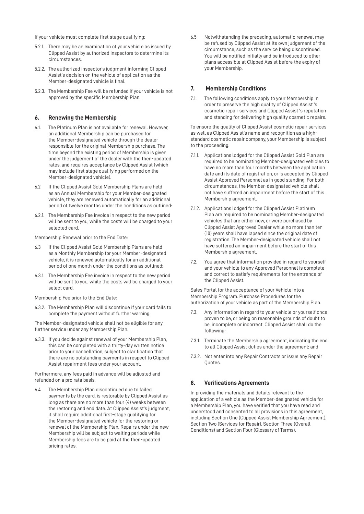If your vehicle must complete first stage qualifying:

- 5.2.1. There may be an examination of your vehicle as issued by Clipped Assist by authorized inspectors to determine its circumstances.
- 5.2.2. The authorized inspector's judgment informing Clipped Assist's decision on the vehicle of application as the Member-designated vehicle is final.
- 5.2.3. The Membership Fee will be refunded if your vehicle is not approved by the specific Membership Plan.

#### **6. Renewing the Membership**

- 6.1. The Platinum Plan is not available for renewal. However, an additional Membership can be purchased for the Member-designated vehicle through the dealer responsible for the original Membership purchase. The time beyond the existing period of Membership is given under the judgement of the dealer with the then-updated rates, and requires acceptance by Clipped Assist (which may include first stage qualifying performed on the Member-designated vehicle).
- 6.2 If the Clipped Assist Gold Membership Plans are held as an Annual Membership for your Member-designated vehicle, they are renewed automatically for an additional period of twelve months under the conditions as outlined:
- 6.2.1. The Membership Fee invoice in respect to the new period will be sent to you, while the costs will be charged to your selected card.

Membership Renewal prior to the End Date:

- 6.3 If the Clipped Assist Gold Membership Plans are held as a Monthly Membership for your Member-designated vehicle, it is renewed automatically for an additional period of one month under the conditions as outlined:
- 6.3.1. The Membership Fee invoice in respect to the new period will be sent to you, while the costs will be charged to your select card.
- Membership Fee prior to the End Date:
- 6.3.2. The Membership Plan will discontinue if your card fails to complete the payment without further warning.

The Member-designated vehicle shall not be eligible for any further service under any Membership Plan.

6.3.3. If you decide against renewal of your Membership Plan, this can be completed with a thirty-day written notice prior to your cancellation, subject to clarification that there are no outstanding payments in respect to Clipped Assist repairment fees under your account.

Furthermore, any fees paid in advance will be adjusted and refunded on a pro rata basis.

6.4 The Membership Plan discontinued due to failed payments by the card, is restorable by Clipped Assist as long as there are no more than four (4) weeks between the restoring and end date. At Clipped Assist's judgment, it shall require additional first-stage qualifying for the Member-designated vehicle for the restoring or renewal of the Membership Plan. Repairs under the new Membership will be subject to waiting periods while Membership fees are to be paid at the then-updated pricing rates.

6.5 Notwithstanding the preceding, automatic renewal may be refused by Clipped Assist at its own judgement of the circumstance, such as the service being discontinued. You will be notified initially and be introduced to other plans accessible at Clipped Assist before the expiry of your Membership.

#### **7. Membership Conditions**

7.1. The following conditions apply to your Membership in order to preserve the high quality of Clipped Assist 's cosmetic repair services and Clipped Assist 's reputation and standing for delivering high quality cosmetic repairs.

To ensure the quality of Clipped Assist cosmetic repair services as well as Clipped Assist's name and recognition as a highstandard cosmetic repair company, your Membership is subject to the proceeding:

- 7.1.1. Applications lodged for the Clipped Assist Gold Plan are required to be nominating Member-designated vehicles to have no more than four months between the application date and its date of registration, or is accepted by Clipped Assist Approved Personnel as in good standing. For both circumstances, the Member-designated vehicle shall not have suffered an impairment before the start of this Membership agreement.
- 7.1.2. Applications lodged for the Clipped Assist Platinum Plan are required to be nominating Member-designated vehicles that are either new, or were purchased by Clipped Assist Approved Dealer while no more than ten (10) years shall have lapsed since the original date of registration. The Member-designated vehicle shall not have suffered an impairment before the start of this Membership agreement.
- 7.2. You agree that information provided in regard to yourself and your vehicle to any Approved Personnel is complete and correct to satisfy requirements for the entrance of the Clipped Assist.

Sales Portal for the acceptance of your Vehicle into a Membership Program. Purchase Procedures for the authorization of your vehicle as part of the Membership Plan.

- 7.3. Any information in regard to your vehicle or yourself once proven to be, or being on reasonable grounds of doubt to be, incomplete or incorrect, Clipped Assist shall do the following:
- 7.3.1. Terminate the Membership agreement, indicating the end to all Clipped Assist duties under the agreement; and
- 7.3.2. Not enter into any Repair Contracts or issue any Repair Quotes.

#### **8. Verifications Agreements**

In providing the materials and details relevant to the application of a vehicle as the Member-designated vehicle for a Membership Plan, you have verified that you have read and understood and consented to all provisions in this agreement, including Section One (Clipped Assist Membership Agreement), Section Two (Services for Repair), Section Three (Overall Conditions) and Section Four (Glossary of Terms).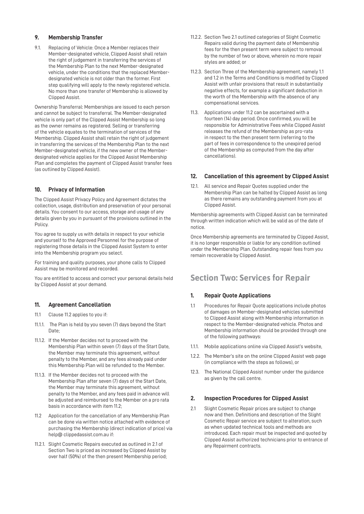#### **9. Membership Transfer**

9.1. Replacing of Vehicle: Once a Member replaces their Member-designated vehicle, Clipped Assist shall retain the right of judgement in transferring the services of the Membership Plan to the next Member-designated vehicle, under the conditions that the replaced Memberdesignated vehicle is not older than the former. First step qualifying will apply to the newly registered vehicle. No more than one transfer of Membership is allowed by Clipped Assist.

Ownership Transferral: Memberships are issued to each person and cannot be subject to transferral. The Member-designated vehicle is only part of the Clipped Assist Membership so long as the owner remains as registered. Selling or transferring of the vehicle equates to the termination of services of the Membership. Clipped Assist shall retain the right of judgement in transferring the services of the Membership Plan to the next Member-designated vehicle, if the new owner of the Memberdesignated vehicle applies for the Clipped Assist Membership Plan and completes the payment of Clipped Assist transfer fees (as outlined by Clipped Assist).

#### **10. Privacy of Information**

The Clipped Assist Privacy Policy and Agreement dictates the collection, usage, distribution and preservation of your personal details. You consent to our access, storage and usage of any details given by you in pursuant of the provisions outlined in the Policy.

You agree to supply us with details in respect to your vehicle and yourself to the Approved Personnel for the purpose of registering those details in the Clipped Assist System to enter into the Membership program you select.

For training and quality purposes, your phone calls to Clipped Assist may be monitored and recorded.

You are entitled to access and correct your personal details held by Clipped Assist at your demand.

#### **11. Agreement Cancellation**

- 11.1 Clause 11.2 applies to you if:
- 11.1.1. The Plan is held by you seven (7) days beyond the Start Date;
- 11.1.2. If the Member decides not to proceed with the Membership Plan within seven (7) days of the Start Date, the Member may terminate this agreement, without penalty to the Member, and any fees already paid under this Membership Plan will be refunded to the Member.
- 11.1.3. If the Member decides not to proceed with the Membership Plan after seven (7) days of the Start Date, the Member may terminate this agreement, without penalty to the Member, and any fees paid in advance will be adjusted and reimbursed to the Member on a pro rata basis in accordance with item 11.2;
- 11.2 Application for the cancellation of any Membership Plan can be done via written notice attached with evidence of purchasing the Membership (direct indication of price) via help@ clippedassist.com.au if:
- 11.2.1. Slight Cosmetic Repairs executed as outlined in 2.1 of Section Two is priced as increased by Clipped Assist by over half (50%) of the then present Membership period;
- 11.2.2. Section Two 2.1 outlined categories of Slight Cosmetic Repairs valid during the payment date of Membership fees for the then present term were subject to removal by the number of two or above, wherein no more repair styles are added; or
- 11.2.3. Section Three of the Membership agreement, namely 1.1 and 1.2 in the Terms and Conditions is modified by Clipped Assist with unfair provisions that result in substantially negative effects, for example a significant deduction in the worth of the Membership with the absence of any compensational services.
- 11.3. Applications under 11.2 can be ascertained with a fourteen (14) day period. Once confirmed, you will be responsible for Administrative Fees while Clipped Assist releases the refund of the Membership as pro-rata in respect to the then present term (referring to the part of fees in correspondence to the unexpired period of the Membership as computed from the day after cancellations).

#### **12. Cancellation of this agreement by Clipped Assist**

12.1. All service and Repair Quotes supplied under the Membership Plan can be halted by Clipped Assist as long as there remains any outstanding payment from you at Clipped Assist.

Membership agreements with Clipped Assist can be terminated through written indication which will be valid as of the date of notice.

Once Membership agreements are terminated by Clipped Assist, it is no longer responsible or liable for any condition outlined under the Membership Plan. Outstanding repair fees from you remain recoverable by Clipped Assist.

### **Section Two: Services for Repair**

#### **1. Repair Quote Applications**

- 1.1 Procedures for Repair Quote applications include photos of damages on Member-designated vehicles submitted to Clipped Assist along with Membership information in respect to the Member-designated vehicle. Photos and Membership information should be provided through one of the following pathways:
- 1.1.1. Mobile applications online via Clipped Assist's website,
- 1.2.2. The Member's site on the online Clipped Assist web page (in compliance with the steps as follows), or
- 12.3. The National Clipped Assist number under the guidance as given by the call centre.

#### **2. Inspection Procedures for Clipped Assist**

2.1 Slight Cosmetic Repair prices are subject to change now and then. Definitions and description of the Slight Cosmetic Repair service are subject to alteration, such as when updated technical tools and methods are introduced. Each repair must be inspected and quoted by Clipped Assist authorized technicians prior to entrance of any Repairment contracts.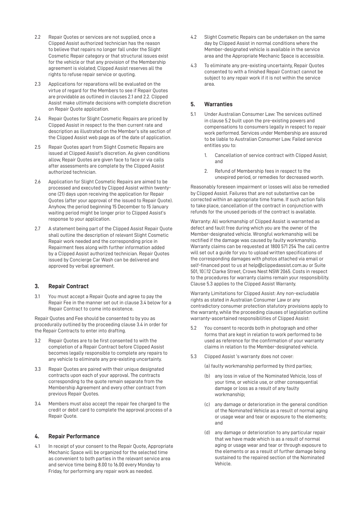- 2.2 Repair Quotes or services are not supplied, once a Clipped Assist authorized technician has the reason to believe that repairs no longer fall under the Slight Cosmetic Repair category or that structural issues exist for the vehicle or that any provision of the Membership agreement is violated; Clipped Assist reserves all the rights to refuse repair service or quoting.
- 2.3 Applications for reparations will be evaluated on the virtue of regard for the Members to see if Repair Quotes are providable as outlined in clauses 2.1 and 2.2. Clipped Assist make ultimate decisions with complete discretion on Repair Quote application.
- 2.4 Repair Quotes for Slight Cosmetic Repairs are priced by Clipped Assist in respect to the then current rate and description as illustrated on the Member's site section of the Clipped Assist web page as of the date of application.
- 2.5 Repair Quotes apart from Slight Cosmetic Repairs are issued at Clipped Assist's discretion. As given conditions allow, Repair Quotes are given face to face or via calls after assessments are complete by the Clipped Assist authorized technician.
- 2.6 Application for Slight Cosmetic Repairs are aimed to be processed and executed by Clipped Assist within twentyone (21) days upon receiving the application for Repair Quotes (after your approval of the issued to Repair Quote). Anyhow, the period beginning 15 December to 15 January waiting period might be longer prior to Clipped Assist's response to your application.
- 2.7 A statement being part of the Clipped Assist Repair Quote shall outline the description of relevant Slight Cosmetic Repair work needed and the corresponding price in Repairment fees along with further information added by a Clipped Assist authorized technician. Repair Quotes issued by Concierge Car Wash can be delivered and approved by verbal agreement.

#### **3. Repair Contract**

3.1 You must accept a Repair Quote and agree to pay the Repair Fee in the manner set out in clause 3.4 below for a Repair Contract to come into existence.

Repair Quotes and Fee should be consented to by you as procedurally outlined by the proceeding clause 3.4 in order for the Repair Contracts to enter into drafting.

- 3.2 Repair Quotes are to be first consented to with the completion of a Repair Contract before Clipped Assist becomes legally responsible to complete any repairs to any vehicle to eliminate any pre-existing uncertainty.
- 3.3 Repair Quotes are paired with their unique designated contracts upon each of your approval. The contracts corresponding to the quote remain separate from the Membership Agreement and every other contract from previous Repair Quotes.
- 3.4 Members must also accept the repair fee charged to the credit or debit card to complete the approval process of a Repair Quote.

#### **4. Repair Performance**

4.1 In receipt of your consent to the Repair Quote, Appropriate Mechanic Space will be organized for the selected time as convenient to both parties in the relevant service area and service time being 8.00 to 16.00 every Monday to Friday, for performing any repair work as needed.

- 4.2 Slight Cosmetic Repairs can be undertaken on the same day by Clipped Assist in normal conditions where the Member-designated vehicle is available in the service area and the Appropriate Mechanic Space is accessible.
- 4.3 To eliminate any pre-existing uncertainty, Repair Quotes consented to with a finished Repair Contract cannot be subject to any repair work if it is not within the service area.

#### **5. Warranties**

- 5.1 Under Australian Consumer Law: The services outlined in clause 5.2 built upon the pre-existing powers and compensations to consumers legally in respect to repair work performed. Services under Membership are assured to be liable to Australian Consumer Law. Failed service entitles you to:
	- 1. Cancellation of service contract with Clipped Assist; and
	- 2. Refund of Membership fees in respect to the unexpired period, or remedies for decreased worth.

Reasonably foreseen impairment or losses will also be remedied by Clipped Assist. Failures that are not substantive can be corrected within an appropriate time frame. If such action fails to take place, cancellation of the contract in conjunction with refunds for the unused periods of the contract is available.

Warranty: All workmanship of Clipped Assist is warranted as defect and fault free during which you are the owner of the Member-designated vehicle. Wrongful workmanship will be rectified if the damage was caused by faulty workmanship. Warranty claims can be requested at 1800 571 254 The call centre will set out a guide for you to upload written specifications of the corresponding damages with photos attached via email or self-financed post to us at help@clippedassist.com.au or Suite 501, 10 12 Clarke Street, Crows Nest NSW 2065. Costs in respect to the procedures for warranty claims remain your responsibility. Clause 5.3 applies to the Clipped Assist Warranty.

Warranty Limitations for Clipped Assist: Any non-excludable rights as stated in Australian Consumer Law or any contradictory consumer protection statutory provisions apply to the warranty, while the proceeding clauses of legislation outline warranty-ascertained responsibilities of Clipped Assist:

- 5.2 You consent to records both in photograph and other forms that are kept in relation to work performed to be used as reference for the confirmation of your warranty claims in relation to the Member-designated vehicle.
- 5.3 Clipped Assist 's warranty does not cover:
	- (a) faulty workmanship performed by third parties;
	- (b) any loss in value of the Nominated Vehicle, loss of your time, or vehicle use, or other consequential damage or loss as a result of any faulty workmanship;
	- (c) any damage or deterioration in the general condition of the Nominated Vehicle as a result of normal aging or usage wear and tear or exposure to the elements; and
	- (d) any damage or deterioration to any particular repair that we have made which is as a result of normal aging or usage wear and tear or through exposure to the elements or as a result of further damage being sustained to the repaired section of the Nominated Vehicle.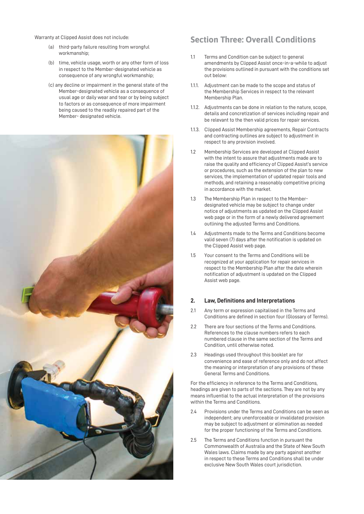Warranty at Clipped Assist does not include:

- (a) third-party failure resulting from wrongful workmanship;
- (b) time, vehicle usage, worth or any other form of loss in respect to the Member-designated vehicle as consequence of any wrongful workmanship;
- (c) any decline or impairment in the general state of the Member-designated vehicle as a consequence of usual age or daily wear and tear or by being subject to factors or as consequence of more impairment being caused to the readily repaired part of the Member- designated vehicle.



### **Section Three: Overall Conditions**

- 1.1 Terms and Condition can be subject to general amendments by Clipped Assist once-in-a-while to adjust the provisions outlined in pursuant with the conditions set out below:
- 1.1.1. Adjustment can be made to the scope and status of the Membership Services in respect to the relevant Membership Plan.
- 1.1.2. Adjustments can be done in relation to the nature, scope, details and concretization of services including repair and be relevant to the then valid prices for repair services.
- 1.1.3. Clipped Assist Membership agreements, Repair Contracts and contracting outlines are subject to adjustment in respect to any provision involved.
- 1.2 Membership Services are developed at Clipped Assist with the intent to assure that adjustments made are to raise the quality and efficiency of Clipped Assist's service or procedures, such as the extension of the plan to new services, the implementation of updated repair tools and methods, and retaining a reasonably competitive pricing in accordance with the market.
- 1.3 The Membership Plan in respect to the Memberdesignated vehicle may be subject to change under notice of adjustments as updated on the Clipped Assist web page or in the form of a newly delivered agreement outlining the adjusted Terms and Conditions.
- 1.4 Adjustments made to the Terms and Conditions become valid seven (7) days after the notification is updated on the Clipped Assist web page.
- 1.5 Your consent to the Terms and Conditions will be recognized at your application for repair services in respect to the Membership Plan after the date wherein notification of adjustment is updated on the Clipped Assist web page.

#### **2. Law, Definitions and Interpretations**

- 2.1 Any term or expression capitalised in the Terms and Conditions are defined in section four (Glossary of Terms).
- 2.2 There are four sections of the Terms and Conditions. References to the clause numbers refers to each numbered clause in the same section of the Terms and Condition, until otherwise noted.
- 2.3 Headings used throughout this booklet are for convenience and ease of reference only and do not affect the meaning or interpretation of any provisions of these General Terms and Conditions.

For the efficiency in reference to the Terms and Conditions, headings are given to parts of the sections. They are not by any means influential to the actual interpretation of the provisions within the Terms and Conditions.

- 2.4 Provisions under the Terms and Conditions can be seen as independent; any unenforceable or invalidated provision may be subject to adjustment or elimination as needed for the proper functioning of the Terms and Conditions.
- 2.5 The Terms and Conditions function in pursuant the Commonwealth of Australia and the State of New South Wales laws. Claims made by any party against another in respect to these Terms and Conditions shall be under exclusive New South Wales court jurisdiction.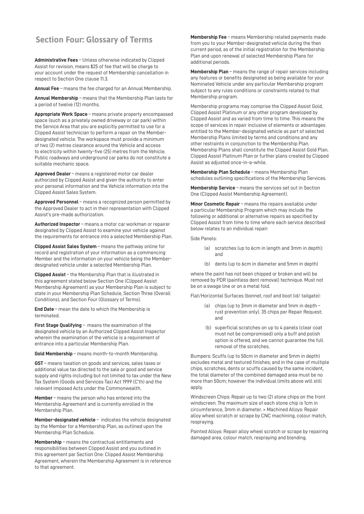### **Section Four: Glossary of Terms**

**Administrative Fees** – Unless otherwise indicated by Clipped Assist for revision, means \$25 of fee that will be charge to your account under the request of Membership cancellation in respect to Section One clause 11.3.

**Annual Fee** – means the fee charged for an Annual Membership.

**Annual Membership** – means that the Membership Plan lasts for a period of twelve (12) months.

**Appropriate Work Space** – means private property encompassed space (such as a privately owned driveway or car park) within the Service Area that you are explicitly permitted to use for a Clipped Assist technician to perform a repair on the Memberdesignated vehicle. The workspace must provide a minimum of two (2) metres clearance around the Vehicle and access to electricity within twenty-five (25) metres from the Vehicle. Public roadways and underground car parks do not constitute a suitable mechanic space.

**Approved Dealer** – means a registered motor car dealer authorized by Clipped Assist and given the authority to enter your personal information and the Vehicle information into the Clipped Assist Sales System.

**Approved Personnel** – means a recognized person permitted by the Approved Dealer to act in their representation with Clipped Assist's pre-made authorization.

**Authorized Inspector** – means a motor car workman or repairer designated by Clipped Assist to examine your vehicle against the requirements for entrance into a selected Membership Plan.

**Clipped Assist Sales System** – means the pathway online for record and registration of your information as a commencing Member and the information on your vehicle being the Memberdesignated vehicle under a selected Membership Plan.

**Clipped Assist** – the Membership Plan that is illustrated in this agreement stated below Section One (Clipped Assist Membership Agreement) as your Membership Plan is subject to state in your Membership Plan Schedule, Section Three (Overall Conditions), and Section Four (Glossary of Terms).

**End Date** – mean the date to which the Membership is terminated.

**First Stage Qualifying** – means the examination of the designated vehicle by an Authorized Clipped Assist Inspector wherein the examination of the vehicle is a requirement of entrance into a particular Membership Plan.

**Gold Membership** – means month-to-month Membership.

**GST** – means taxation on goods and services, sales taxes or additional value tax directed to the sale or good and service supply and rights including but not limited to tax under the New Tax System (Goods and Services Tax) Act 1999 (C'th) and the relevant imposed Acts under the Commonwealth.

**Member** – means the person who has entered into the Membership Agreement and is currently enrolled in the Membership Plan.

**Member-designated vehicle** – indicates the vehicle designated by the Member for a Membership Plan, as outlined upon the Membership Plan Schedule.

**Membership** – means the contractual entitlements and responsibilities between Clipped Assist and you outlined in this agreement par Section One: Clipped Assist Membership Agreement, wherein the Membership Agreement is in reference to that agreement.

**Membership Fee** – means Membership related payments made from you to your Member-designated vehicle during the then current period, as of the initial registration for the Membership Plan and upon renewal of selected Membership Plans for additional periods.

**Membership Plan** – means the range of repair services including any features or benefits designated as being available for your Nominated Vehicle under any particular Membership program subject to any rules conditions or constraints related to that Membership program.

Membership programs may comprise the Clipped Assist Gold, Clipped Assist Platinum or any other program developed by Clipped Assist and as varied from time to time. This means the scope of services in repair inclusive of elements or advantages entitled to the Member-designated vehicle as part of selected Membership Plans limited by terms and conditions and any other restraints in conjunction to the Membership Plan. Membership Plans shall constitute the Clipped Assist Gold Plan, Clipped Assist Platinum Plan or further plans created by Clipped Assist as adjusted once-in-a-while.

**Membership Plan Schedule** – means Membership Plan schedules outlining specifications of the Membership Services.

**Membership Service** – means the services set out in Section One (Clipped Assist Membership Agreement).

**Minor Cosmetic Repair** – means the repairs available under a particular Membership Program which may include the following or additional or alternative repairs as specified by Clipped Assist from time to time where each service described below relates to an individual repair:

Side Panels:

- (a) scratches (up to 6cm in length and 3mm in depth); and
- (b) dents (up to 6cm in diameter and 5mm in depth)

where the paint has not been chipped or broken and will be removed by PDR (paintless dent removal) technique. Must not be on a swage line or on a metal fold.

Flat/Horizontal Surfaces (bonnet, roof and boot lid/ tailgate):

- (a) chips (up to 3mm in diameter and 1mm in depth rust prevention only). 35 chips per Repair Request; and
- (b) superficial scratches on up to 4 panels (clear coat must not be compromised) only a buff and polish option is offered, and we cannot guarantee the full removal of the scratches.

Bumpers: Scuffs (up to 50cm in diameter and 5mm in depth) excludes metal and textured finishes; and in the case of multiple chips, scratches, dents or scuffs caused by the same incident, the total diameter of the combined damaged area must be no more than 50cm; however the individual limits above will still apply.

Windscreen Chips: Repair up to two (2) stone chips on the front windscreen. The maximum size of each stone chip is 1cm in circumference, 3mm in diameter. > Machined Alloys: Repair alloy wheel scratch or scrape by CNC machining, colour match, respraying.

Painted Alloys: Repair alloy wheel scratch or scrape by repairing damaged area, colour match, respraying and blending.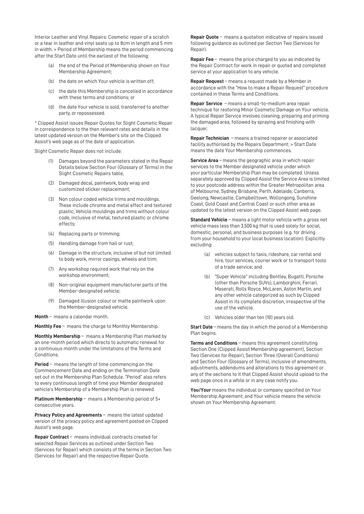Interior Leather and Vinyl Repairs: Cosmetic repair of a scratch or a tear in leather and vinyl seats up to 8cm in length and 5 mm in width. > Period of Membership means the period commencing after the Start Date until the earliest of the following:

- (a) the end of the Period of Membership shown on Your Membership Agreement;
- (b) the date on which Your vehicle is written off;
- (c) the date this Membership is cancelled in accordance with these terms and conditions; or
- (d) the date Your vehicle is sold, transferred to another party, or repossessed.

\* Clipped Assist issues Repair Quotes for Slight Cosmetic Repair in correspondence to the then relevant rates and details in the latest updated version on the Member's site on the Clipped Assist's web page as of the date of application.

Slight Cosmetic Repair does not include:

- Damages beyond the parameters stated in the Repair Details below Section Four (Glossary of Terms) in the Slight Cosmetic Repairs table;
- (2) Damaged decal, paintwork, body wrap and customized sticker replacement;
- (3) Non colour coded vehicle trims and mouldings. These include chrome and metal effect and textured plastic; Vehicle mouldings and trims without colour code, inclusive of metal, textured plastic or chrome effects;
- (4) Replacing parts or trimming;
- (5) Handling damage from hail or rust;
- (6) Damage in the structure, inclusive of but not limited to body work, mirror casings, wheels and trim;
- (7) Any workshop required work that rely on the workshop environment;
- (8) Non-original equipment manufacturer parts of the Member-designated vehicle;
- (9) Damaged illusion colour or matte paintwork upon the Member-designated vehicle.

**Month** – means a calendar month.

**Monthly Fee** – means the charge to Monthly Membership.

**Monthly Membership** – means a Membership Plan marked by an one-month period which directs to automatic renewal for a continuous month under the limitations of the Terms and Conditions.

**Period** – means the length of time commencing on the Commencement Date and ending on the Termination Date set out in the Membership Plan Schedule. "Period" also refers to every continuous length of time your Member designated vehicle's Membership of a Membership Plan is renewed.

**Platinum Membership** – means a Membership period of 5+ consecutive years.

**Privacy Policy and Agreements** – means the latest updated version of the privacy policy and agreement posted on Clipped Assist's web page.

**Repair Contract** – means individual contracts created for selected Repair Services as outlined under Section Two (Services for Repair) which consists of the terms in Section Two (Services for Repair) and the respective Repair Quote.

**Repair Quote** – means a quotation indicative of repairs issued following guidance as outlined par Section Two (Services for Repair).

**Repair Fee** – means the price charged to you as indicated by the Repair Contract for work in repair or quoted and completed service at your application to any vehicle.

**Repair Request** – means a request made by a Member in accordance with the "How to make a Repair Request" procedure contained in these Terms and Conditions.

**Repair Service** – means a small-to-medium area repair technique for restoring Minor Cosmetic Damage on Your vehicle. A typical Repair Service involves cleaning, preparing and priming the damaged area, followed by spraying and finishing with lacquer.

**Repair Technician** – means a trained repairer or associated facility authorised by the Repairs Department; > Start Date means the date Your Membership commences.

**Service Area** – means the geographic area in which repair services to the Member designated vehicle under which your particular Membership Plan may be completed. Unless separately approved by Clipped Assist the Service Area is limited to your postcode address within the Greater Metropolitan area of Melbourne, Sydney, Brisbane, Perth, Adelaide, Canberra, Geelong, Newcastle, Campbelltown, Wollongong, Sunshine Coast, Gold Coast and Central Coast or such other area as updated to the latest version on the Clipped Assist web page.

**Standard Vehicle** – means a light motor vehicle with a gross net vehicle mass less than 3,500 kg that is used solely for social, domestic, personal, and business purposes (e.g. for driving from your household to your local business location). Explicitly excluding:

- (a) vehicles subject to taxis, rideshare, car rental and hire, tour services, courier work or to transport tools of a trade service; and
- (b) "Super Vehicle" including Bentley, Bugatti, Porsche (other than Porsche SUVs), Lamborghini, Ferrari, Maserati, Rolls Royce, McLaren, Aston Martin, and any other vehicle categorized as such by Clipped Assist in its complete discretion, irrespective of the use of the vehicle.
- (c) Vehicles older than ten (10) years old.

**Start Date** – means the day in which the period of a Membership Plan begins.

**Terms and Conditions** – means this agreement constituting Section One (Clipped Assist Membership agreement), Section Two (Services for Repair), Section Three (Overall Conditions) and Section Four (Glossary of Terms), inclusive of amendments, adjustments, addendums and alterations to this agreement or any of the sections to it that Clipped Assist should upload to the web page once in a while or in any case notify you.

**You/Your** means the individual or company specified on Your Membership Agreement; and Your vehicle means the vehicle shown on Your Membership Agreement.